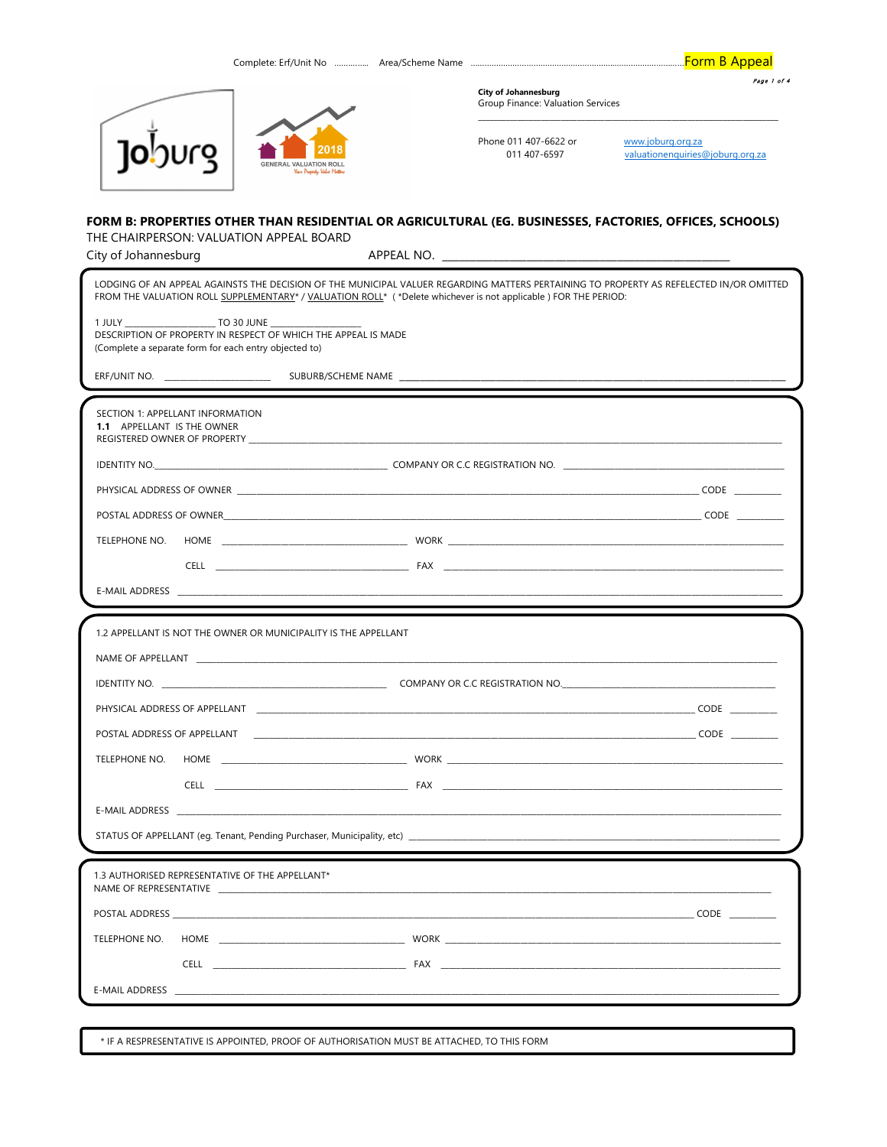|                                                                                                                         |                                                                 | <b>City of Johannesburg</b><br>Group Finance: Valuation Services                                               | Page 1 of 4                                                                                                                             |
|-------------------------------------------------------------------------------------------------------------------------|-----------------------------------------------------------------|----------------------------------------------------------------------------------------------------------------|-----------------------------------------------------------------------------------------------------------------------------------------|
| Joburg                                                                                                                  |                                                                 | Phone 011 407-6622 or<br>011 407-6597                                                                          | www.joburg.org.za<br>valuationenquiries@joburg.org.za                                                                                   |
| THE CHAIRPERSON: VALUATION APPEAL BOARD<br>City of Johannesburg                                                         |                                                                 |                                                                                                                | FORM B: PROPERTIES OTHER THAN RESIDENTIAL OR AGRICULTURAL (EG. BUSINESSES, FACTORIES, OFFICES, SCHOOLS)                                 |
|                                                                                                                         |                                                                 | FROM THE VALUATION ROLL SUPPLEMENTARY* / VALUATION ROLL* (*Delete whichever is not applicable) FOR THE PERIOD: | LODGING OF AN APPEAL AGAINSTS THE DECISION OF THE MUNICIPAL VALUER REGARDING MATTERS PERTAINING TO PROPERTY AS REFELECTED IN/OR OMITTED |
| DESCRIPTION OF PROPERTY IN RESPECT OF WHICH THE APPEAL IS MADE<br>(Complete a separate form for each entry objected to) |                                                                 |                                                                                                                |                                                                                                                                         |
|                                                                                                                         |                                                                 |                                                                                                                |                                                                                                                                         |
| SECTION 1: APPELLANT INFORMATION<br>1.1 APPELLANT IS THE OWNER                                                          |                                                                 |                                                                                                                |                                                                                                                                         |
|                                                                                                                         |                                                                 |                                                                                                                |                                                                                                                                         |
|                                                                                                                         |                                                                 |                                                                                                                |                                                                                                                                         |
|                                                                                                                         |                                                                 |                                                                                                                |                                                                                                                                         |
|                                                                                                                         |                                                                 |                                                                                                                |                                                                                                                                         |
|                                                                                                                         |                                                                 |                                                                                                                |                                                                                                                                         |
|                                                                                                                         |                                                                 |                                                                                                                |                                                                                                                                         |
|                                                                                                                         |                                                                 |                                                                                                                |                                                                                                                                         |
|                                                                                                                         | 1.2 APPELLANT IS NOT THE OWNER OR MUNICIPALITY IS THE APPELLANT |                                                                                                                |                                                                                                                                         |
|                                                                                                                         |                                                                 |                                                                                                                |                                                                                                                                         |
| NAME OF APPELLANT THE STATE OF STATE AND THE STATE OF A STATE OF A STATE OF A STATE OF A STATE OF A STATE OF A          |                                                                 |                                                                                                                |                                                                                                                                         |
| <b>IDENTITY NO.</b>                                                                                                     |                                                                 | COMPANY OR C.C REGISTRATION NO.                                                                                |                                                                                                                                         |
|                                                                                                                         |                                                                 |                                                                                                                | PHYSICAL ADDRESS OF APPELLANT The Contract of the Contract of the Contract of Contract of the Contract of Cont                          |
|                                                                                                                         |                                                                 |                                                                                                                |                                                                                                                                         |
| TELEPHONE NO.                                                                                                           |                                                                 |                                                                                                                |                                                                                                                                         |
|                                                                                                                         |                                                                 |                                                                                                                |                                                                                                                                         |
|                                                                                                                         |                                                                 |                                                                                                                |                                                                                                                                         |
|                                                                                                                         |                                                                 |                                                                                                                |                                                                                                                                         |
| 1.3 AUTHORISED REPRESENTATIVE OF THE APPELLANT*                                                                         |                                                                 |                                                                                                                |                                                                                                                                         |
|                                                                                                                         |                                                                 |                                                                                                                |                                                                                                                                         |
| TELEPHONE NO.                                                                                                           |                                                                 |                                                                                                                |                                                                                                                                         |
|                                                                                                                         |                                                                 |                                                                                                                |                                                                                                                                         |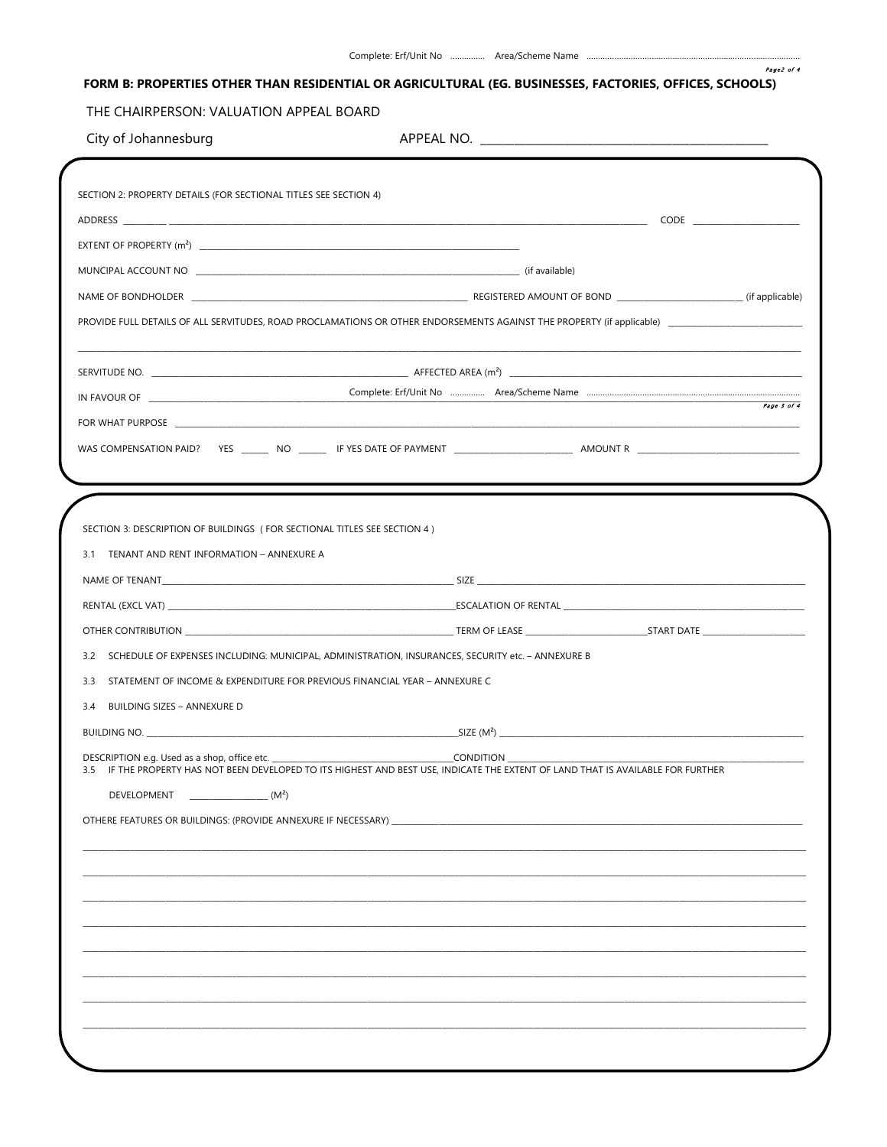Page2 of 4

## FORM B: PROPERTIES OTHER THAN RESIDENTIAL OR AGRICULTURAL (EG. BUSINESSES, FACTORIES, OFFICES, SCHOOLS)

## THE CHAIRPERSON: VALUATION APPEAL BOARD

|  |  | City of Johannesburg |  |
|--|--|----------------------|--|
|--|--|----------------------|--|

|                                                                                                                                      | NAME OF BONDHOLDER (if applicable) (if applicable) |
|--------------------------------------------------------------------------------------------------------------------------------------|----------------------------------------------------|
|                                                                                                                                      |                                                    |
|                                                                                                                                      |                                                    |
|                                                                                                                                      |                                                    |
|                                                                                                                                      | Page 3 of 4                                        |
|                                                                                                                                      |                                                    |
|                                                                                                                                      |                                                    |
|                                                                                                                                      |                                                    |
|                                                                                                                                      |                                                    |
| SECTION 3: DESCRIPTION OF BUILDINGS (FOR SECTIONAL TITLES SEE SECTION 4)                                                             |                                                    |
| 3.1 TENANT AND RENT INFORMATION - ANNEXURE A                                                                                         |                                                    |
|                                                                                                                                      |                                                    |
|                                                                                                                                      |                                                    |
|                                                                                                                                      |                                                    |
| 3.2 SCHEDULE OF EXPENSES INCLUDING: MUNICIPAL, ADMINISTRATION, INSURANCES, SECURITY etc. - ANNEXURE B                                |                                                    |
| 3.3<br>STATEMENT OF INCOME & EXPENDITURE FOR PREVIOUS FINANCIAL YEAR - ANNEXURE C                                                    |                                                    |
| 3.4 BUILDING SIZES - ANNEXURE D                                                                                                      |                                                    |
|                                                                                                                                      | BUILDING NO. SIZE $(M^2)$ SIZE $(M^2)$             |
| IF THE PROPERTY HAS NOT BEEN DEVELOPED TO ITS HIGHEST AND BEST USE, INDICATE THE EXTENT OF LAND THAT IS AVAILABLE FOR FURTHER<br>3.5 |                                                    |
| DEVELOPMENT<br>$\frac{1}{2}$ (M <sup>2</sup> )                                                                                       |                                                    |
|                                                                                                                                      |                                                    |
|                                                                                                                                      |                                                    |
|                                                                                                                                      |                                                    |
|                                                                                                                                      |                                                    |
|                                                                                                                                      |                                                    |
|                                                                                                                                      |                                                    |
|                                                                                                                                      |                                                    |
|                                                                                                                                      |                                                    |
|                                                                                                                                      |                                                    |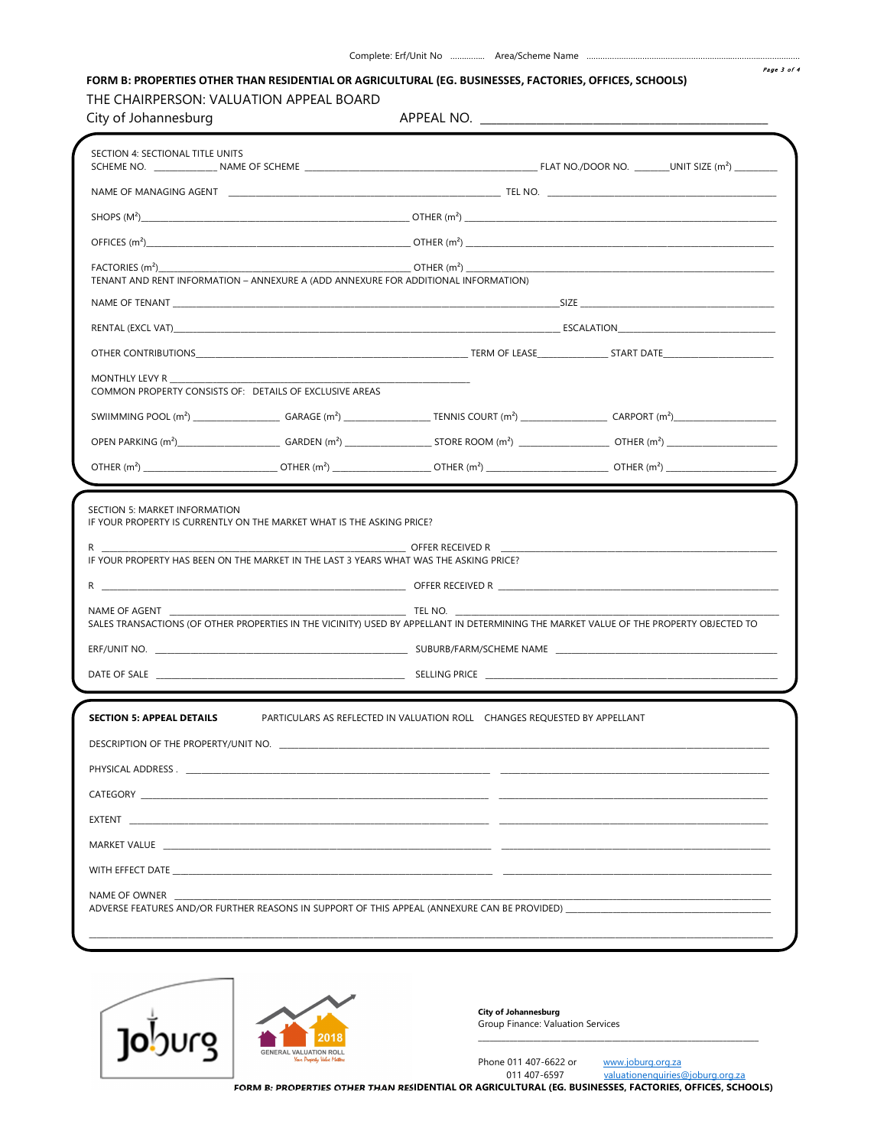## FORM B: PROPERTIES OTHER THAN RESIDENTIAL OR AGRICULTURAL (EG. BUSINESSES, FACTORIES, OFFICES, SCHOOLS)

## THE CHAIRPERSON: VALUATION APPEAL BOARD

| City of Johannesburg                                                                                                                        |                                                                                                                                                                                                                               |  |
|---------------------------------------------------------------------------------------------------------------------------------------------|-------------------------------------------------------------------------------------------------------------------------------------------------------------------------------------------------------------------------------|--|
| SECTION 4: SECTIONAL TITLE UNITS                                                                                                            |                                                                                                                                                                                                                               |  |
|                                                                                                                                             | NAME OF MANAGING AGENT <b>A CONSERVERT CONTROL</b> TEL NO.                                                                                                                                                                    |  |
|                                                                                                                                             |                                                                                                                                                                                                                               |  |
|                                                                                                                                             |                                                                                                                                                                                                                               |  |
| TENANT AND RENT INFORMATION - ANNEXURE A (ADD ANNEXURE FOR ADDITIONAL INFORMATION)                                                          |                                                                                                                                                                                                                               |  |
|                                                                                                                                             |                                                                                                                                                                                                                               |  |
|                                                                                                                                             |                                                                                                                                                                                                                               |  |
|                                                                                                                                             |                                                                                                                                                                                                                               |  |
| MONTHLY LEVY R<br>COMMON PROPERTY CONSISTS OF: DETAILS OF EXCLUSIVE AREAS                                                                   |                                                                                                                                                                                                                               |  |
|                                                                                                                                             |                                                                                                                                                                                                                               |  |
|                                                                                                                                             |                                                                                                                                                                                                                               |  |
|                                                                                                                                             |                                                                                                                                                                                                                               |  |
| R.<br>IF YOUR PROPERTY HAS BEEN ON THE MARKET IN THE LAST 3 YEARS WHAT WAS THE ASKING PRICE?<br>NAME OF AGENT                               | <b>EXAMPLE IN TEL NO.</b><br>SALES TRANSACTIONS (OF OTHER PROPERTIES IN THE VICINITY) USED BY APPELLANT IN DETERMINING THE MARKET VALUE OF THE PROPERTY OBJECTED TO                                                           |  |
|                                                                                                                                             |                                                                                                                                                                                                                               |  |
|                                                                                                                                             | DATE OF SALE POLICIES AND ACCOUNT AND ACCOUNT OF SELLING PRICE POLICIES AND ACCOUNT OF SALE PRICE PRICE PRICE SELLING PRICE PRICE AND A SELLING PRICE PRICE AND A SELLING PRICE PRICE AND A SELLING PRICE AND A SELLING PRICE |  |
| <b>SECTION 5: APPEAL DETAILS</b><br>EXTENT <b>And Constitution Constitution and Constitution Constitution Constitution</b><br>NAME OF OWNER | PARTICULARS AS REFLECTED IN VALUATION ROLL CHANGES REQUESTED BY APPELLANT<br>ADVERSE FEATURES AND/OR FURTHER REASONS IN SUPPORT OF THIS APPEAL (ANNEXURE CAN BE PROVIDED) _____________                                       |  |
|                                                                                                                                             |                                                                                                                                                                                                                               |  |



**City of Johannesburg** Group Finance: Valuation Services

011 407-6597

Phone 011 407-6622 or

www.joburg.org.za valuationenquiries@joburg.org.za

FORM B: PROPERTIES OTHER THAN RESIDENTIAL OR AGRICULTURAL (EG. BUSINESSES, FACTORIES, OFFICES, SCHOOLS)